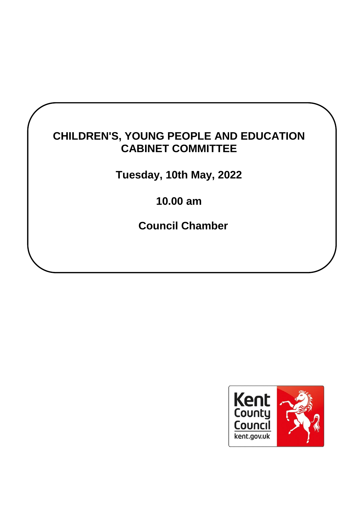# **CHILDREN'S, YOUNG PEOPLE AND EDUCATION CABINET COMMITTEE**

**Tuesday, 10th May, 2022**

**10.00 am**

**Council Chamber**

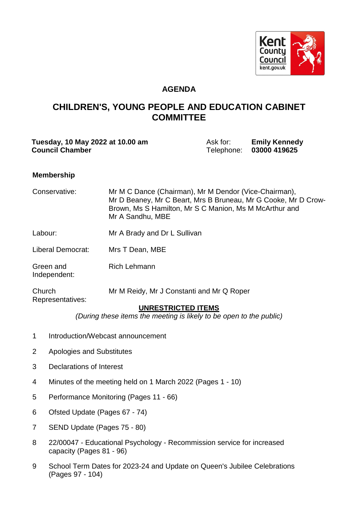

## **AGENDA**

# **CHILDREN'S, YOUNG PEOPLE AND EDUCATION CABINET COMMITTEE**

| Tuesday, 10 May 2022 at 10.00 am | Ask for:   | <b>Emily Kennedy</b> |
|----------------------------------|------------|----------------------|
| <b>Council Chamber</b>           | Telephone: | 03000 419625         |

#### **Membership**

| Conservative:                         | Mr M C Dance (Chairman), Mr M Dendor (Vice-Chairman),<br>Mr D Beaney, Mr C Beart, Mrs B Bruneau, Mr G Cooke, Mr D Crow-<br>Brown, Ms S Hamilton, Mr S C Manion, Ms M McArthur and<br>Mr A Sandhu, MBE |
|---------------------------------------|-------------------------------------------------------------------------------------------------------------------------------------------------------------------------------------------------------|
| Labour:                               | Mr A Brady and Dr L Sullivan                                                                                                                                                                          |
| Liberal Democrat:                     | Mrs T Dean, MBE                                                                                                                                                                                       |
| Green and<br>Independent:             | <b>Rich Lehmann</b>                                                                                                                                                                                   |
| Church<br>Representatives:            | Mr M Reidy, Mr J Constanti and Mr Q Roper<br><b>UNRESTRICTED ITEMS</b>                                                                                                                                |
|                                       | (During these items the meeting is likely to be open to the public)                                                                                                                                   |
| $\mathbf{1}$                          | Introduction/Webcast announcement                                                                                                                                                                     |
| 2<br><b>Apologies and Substitutes</b> |                                                                                                                                                                                                       |

- 3 Declarations of Interest
- 4 Minutes of the meeting held on 1 March 2022 (Pages 1 10)
- 5 Performance Monitoring (Pages 11 66)
- 6 Ofsted Update (Pages 67 74)
- 7 SEND Update (Pages 75 80)
- 8 22/00047 Educational Psychology Recommission service for increased capacity (Pages 81 - 96)
- 9 School Term Dates for 2023-24 and Update on Queen's Jubilee Celebrations (Pages 97 - 104)